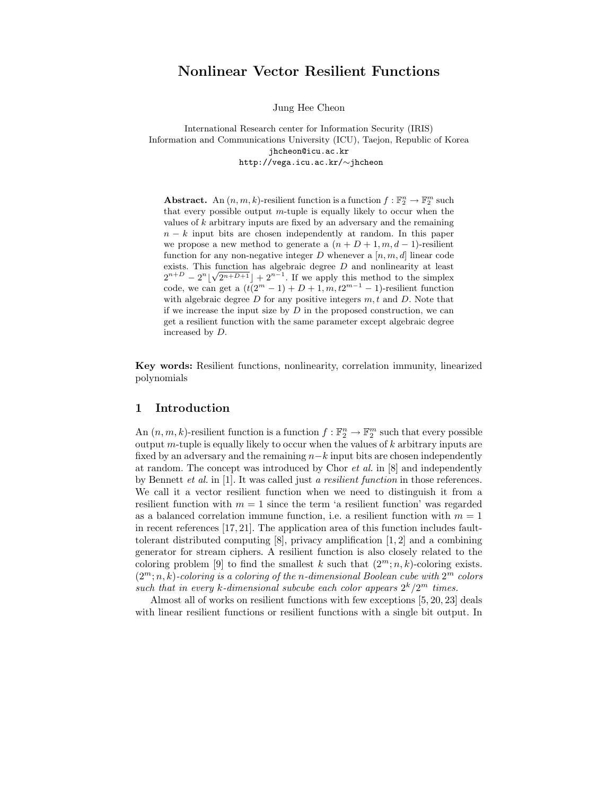# Nonlinear Vector Resilient Functions

Jung Hee Cheon

International Research center for Information Security (IRIS) Information and Communications University (ICU), Taejon, Republic of Korea jhcheon@icu.ac.kr http://vega.icu.ac.kr/∼jhcheon

Abstract. An  $(n, m, k)$ -resilient function is a function  $f : \mathbb{F}_2^n \to \mathbb{F}_2^m$  such that every possible output  $m$ -tuple is equally likely to occur when the values of  $k$  arbitrary inputs are fixed by an adversary and the remaining  $n - k$  input bits are chosen independently at random. In this paper we propose a new method to generate a  $(n + D + 1, m, d - 1)$ -resilient function for any non-negative integer  $D$  whenever a  $[n, m, d]$  linear code exists. This function has algebraic degree  $D$  and nonlinearity at least  $2^{n+D} - 2^n \left[ \sqrt{2^{n+D+1}} \right] + 2^{n-1}$ . If we apply this method to the simplex code, we can get a  $(t(2<sup>m</sup> - 1) + D + 1, m, t2<sup>m-1</sup> - 1)$ -resilient function with algebraic degree  $D$  for any positive integers  $m, t$  and  $D$ . Note that if we increase the input size by  $D$  in the proposed construction, we can get a resilient function with the same parameter except algebraic degree increased by D.

Key words: Resilient functions, nonlinearity, correlation immunity, linearized polynomials

### 1 Introduction

An  $(n, m, k)$ -resilient function is a function  $f : \mathbb{F}_2^n \to \mathbb{F}_2^m$  such that every possible output m-tuple is equally likely to occur when the values of  $k$  arbitrary inputs are fixed by an adversary and the remaining  $n-k$  input bits are chosen independently at random. The concept was introduced by Chor et al. in [8] and independently by Bennett *et al.* in [1]. It was called just a resilient function in those references. We call it a vector resilient function when we need to distinguish it from a resilient function with  $m = 1$  since the term 'a resilient function' was regarded as a balanced correlation immune function, i.e. a resilient function with  $m = 1$ in recent references [17, 21]. The application area of this function includes faulttolerant distributed computing [8], privacy amplification [1, 2] and a combining generator for stream ciphers. A resilient function is also closely related to the coloring problem [9] to find the smallest k such that  $(2^m; n, k)$ -coloring exists.  $(2^m; n, k)$ -coloring is a coloring of the n-dimensional Boolean cube with  $2^m$  colors such that in every k-dimensional subcube each color appears  $2^k/2^m$  times.

Almost all of works on resilient functions with few exceptions [5, 20, 23] deals with linear resilient functions or resilient functions with a single bit output. In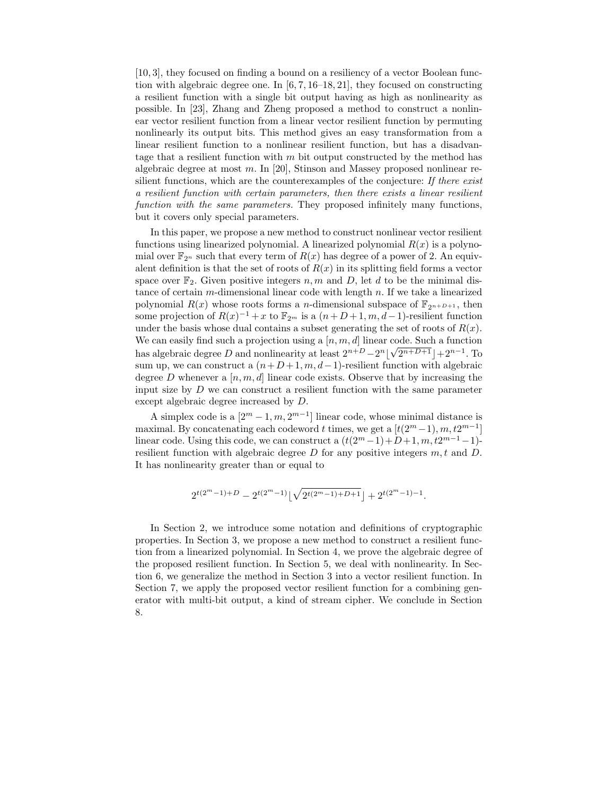[10, 3], they focused on finding a bound on a resiliency of a vector Boolean function with algebraic degree one. In  $[6, 7, 16-18, 21]$ , they focused on constructing a resilient function with a single bit output having as high as nonlinearity as possible. In [23], Zhang and Zheng proposed a method to construct a nonlinear vector resilient function from a linear vector resilient function by permuting nonlinearly its output bits. This method gives an easy transformation from a linear resilient function to a nonlinear resilient function, but has a disadvantage that a resilient function with  $m$  bit output constructed by the method has algebraic degree at most m. In [20], Stinson and Massey proposed nonlinear resilient functions, which are the counterexamples of the conjecture: If there exist a resilient function with certain parameters, then there exists a linear resilient function with the same parameters. They proposed infinitely many functions, but it covers only special parameters.

In this paper, we propose a new method to construct nonlinear vector resilient functions using linearized polynomial. A linearized polynomial  $R(x)$  is a polynomial over  $\mathbb{F}_{2^n}$  such that every term of  $R(x)$  has degree of a power of 2. An equivalent definition is that the set of roots of  $R(x)$  in its splitting field forms a vector space over  $\mathbb{F}_2$ . Given positive integers n, m and D, let d to be the minimal distance of certain  $m$ -dimensional linear code with length  $n$ . If we take a linearized polynomial  $R(x)$  whose roots forms a *n*-dimensional subspace of  $\mathbb{F}_{2n+D+1}$ , then some projection of  $R(x)^{-1} + x$  to  $\mathbb{F}_{2^m}$  is a  $(n+D+1, m, d-1)$ -resilient function under the basis whose dual contains a subset generating the set of roots of  $R(x)$ . We can easily find such a projection using a  $[n, m, d]$  linear code. Such a function has algebraic degree D and nonlinearity at least  $2^{n+D}-2^n\lfloor\sqrt{2^{n+D+1}}\rfloor+2^{n-1}$ . To sum up, we can construct a  $(n+D+1, m, d-1)$ -resilient function with algebraic degree D whenever a  $[n, m, d]$  linear code exists. Observe that by increasing the input size by  $D$  we can construct a resilient function with the same parameter except algebraic degree increased by D.

A simplex code is a  $[2^m - 1, m, 2^{m-1}]$  linear code, whose minimal distance is maximal. By concatenating each codeword t times, we get a  $[t(2^m-1), m, t2^{m-1}]$ linear code. Using this code, we can construct a  $(t(2^m-1)+D+1, m, t2^{m-1}-1)$ resilient function with algebraic degree  $D$  for any positive integers  $m, t$  and  $D$ . It has nonlinearity greater than or equal to

$$
2^{t(2^m-1)+D}-2^{t(2^m-1)}\lfloor\sqrt{2^{t(2^m-1)+D+1}}\rfloor+2^{t(2^m-1)-1}.
$$

In Section 2, we introduce some notation and definitions of cryptographic properties. In Section 3, we propose a new method to construct a resilient function from a linearized polynomial. In Section 4, we prove the algebraic degree of the proposed resilient function. In Section 5, we deal with nonlinearity. In Section 6, we generalize the method in Section 3 into a vector resilient function. In Section 7, we apply the proposed vector resilient function for a combining generator with multi-bit output, a kind of stream cipher. We conclude in Section 8.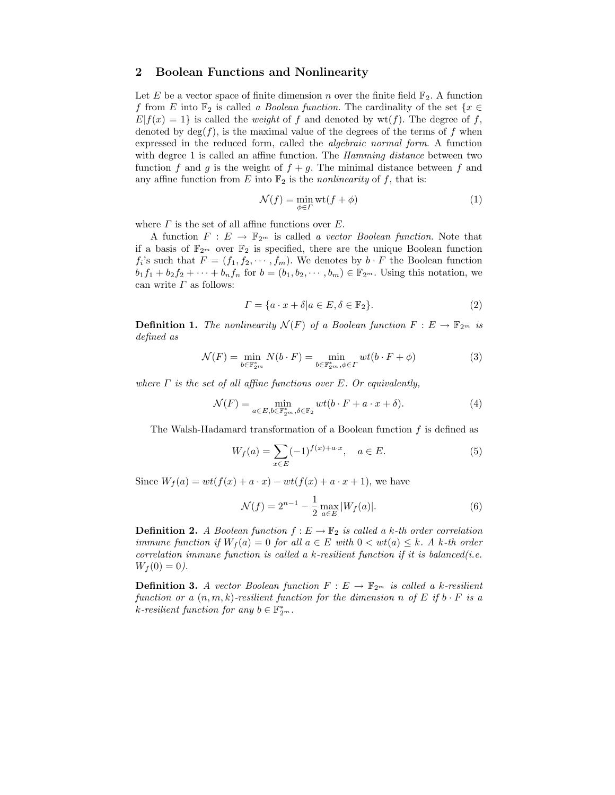### 2 Boolean Functions and Nonlinearity

Let E be a vector space of finite dimension n over the finite field  $\mathbb{F}_2$ . A function f from E into  $\mathbb{F}_2$  is called a Boolean function. The cardinality of the set  $\{x \in$  $E|f(x) = 1$  is called the *weight* of f and denoted by wt(f). The degree of f, denoted by  $deg(f)$ , is the maximal value of the degrees of the terms of f when expressed in the reduced form, called the algebraic normal form. A function with degree 1 is called an affine function. The *Hamming distance* between two function f and g is the weight of  $f + g$ . The minimal distance between f and any affine function from E into  $\mathbb{F}_2$  is the *nonlinearity* of f, that is:

$$
\mathcal{N}(f) = \min_{\phi \in \Gamma} \text{wt}(f + \phi) \tag{1}
$$

where  $\Gamma$  is the set of all affine functions over  $E$ .

A function  $F : E \to \mathbb{F}_{2^m}$  is called a vector Boolean function. Note that if a basis of  $\mathbb{F}_{2^m}$  over  $\mathbb{F}_2$  is specified, there are the unique Boolean function  $f_i$ 's such that  $F = (f_1, f_2, \dots, f_m)$ . We denotes by  $b \cdot F$  the Boolean function  $b_1f_1 + b_2f_2 + \cdots + b_nf_n$  for  $b = (b_1, b_2, \cdots, b_m) \in \mathbb{F}_{2^m}$ . Using this notation, we can write  $\Gamma$  as follows:

$$
\Gamma = \{a \cdot x + \delta | a \in E, \delta \in \mathbb{F}_2\}.
$$
\n<sup>(2)</sup>

**Definition 1.** The nonlinearity  $\mathcal{N}(F)$  of a Boolean function  $F: E \to \mathbb{F}_{2^m}$  is defined as

$$
\mathcal{N}(F) = \min_{b \in \mathbb{F}_{2^m}^*} N(b \cdot F) = \min_{b \in \mathbb{F}_{2^m}^*, \phi \in \Gamma} wt(b \cdot F + \phi)
$$
\n(3)

where  $\Gamma$  is the set of all affine functions over E. Or equivalently,

$$
\mathcal{N}(F) = \min_{a \in E, b \in \mathbb{F}_{2^m}^*, \delta \in \mathbb{F}_2} wt(b \cdot F + a \cdot x + \delta).
$$
 (4)

The Walsh-Hadamard transformation of a Boolean function  $f$  is defined as

$$
W_f(a) = \sum_{x \in E} (-1)^{f(x) + a \cdot x}, \quad a \in E.
$$
 (5)

Since  $W_f(a) = wt(f(x) + a \cdot x) - wt(f(x) + a \cdot x + 1)$ , we have

$$
\mathcal{N}(f) = 2^{n-1} - \frac{1}{2} \max_{a \in E} |W_f(a)|.
$$
 (6)

**Definition 2.** A Boolean function  $f : E \to \mathbb{F}_2$  is called a k-th order correlation immune function if  $W_f(a) = 0$  for all  $a \in E$  with  $0 < wt(a) \leq k$ . A k-th order correlation immune function is called a k-resilient function if it is balanced(i.e.  $W_f(0) = 0$ .

**Definition 3.** A vector Boolean function  $F : E \to \mathbb{F}_{2^m}$  is called a k-resilient function or a  $(n, m, k)$ -resilient function for the dimension n of E if  $b \cdot F$  is a k-resilient function for any  $b \in \mathbb{F}_{2^m}^*$ .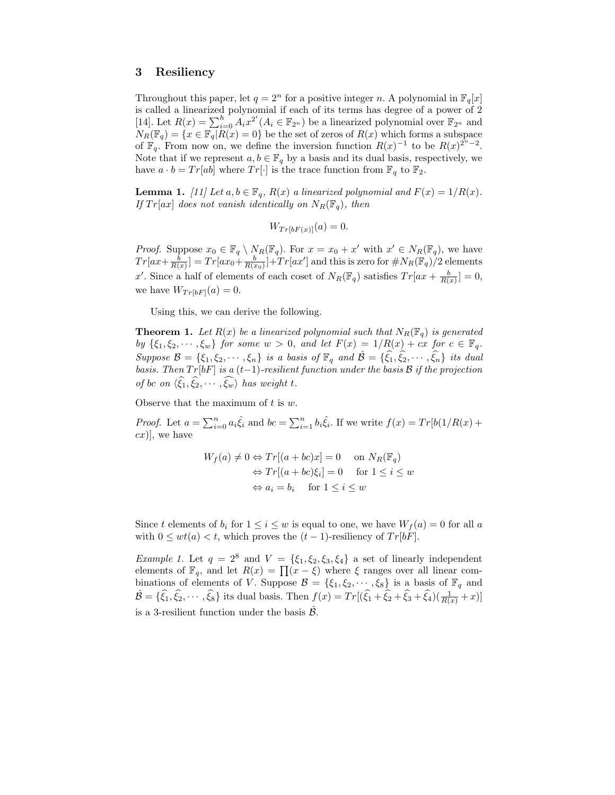# 3 Resiliency

Throughout this paper, let  $q = 2^n$  for a positive integer n. A polynomial in  $\mathbb{F}_q[x]$ is called a linearized polynomial if each of its terms has degree of a power of 2 [14]. Let  $R(x) = \sum_{i=0}^{h} A_i x^{2^i} (A_i \in \mathbb{F}_{2^n})$  be a linearized polynomial over  $\mathbb{F}_{2^n}$  and  $N_R(\mathbb{F}_q) = \{x \in \mathbb{F}_q | R(x) = 0\}$  be the set of zeros of  $R(x)$  which forms a subspace of  $\mathbb{F}_q$ . From now on, we define the inversion function  $R(x)^{-1}$  to be  $R(x)^{2^n-2}$ . Note that if we represent  $a, b \in \mathbb{F}_q$  by a basis and its dual basis, respectively, we have  $a \cdot b = Tr[ab]$  where  $Tr[\cdot]$  is the trace function from  $\mathbb{F}_q$  to  $\mathbb{F}_2$ .

**Lemma 1.** [11] Let  $a, b \in \mathbb{F}_q$ ,  $R(x)$  a linearized polynomial and  $F(x) = 1/R(x)$ . If  $Tr[ax]$  does not vanish identically on  $N_R(\mathbb{F}_q)$ , then

$$
W_{Tr[bF(x)]}(a) = 0.
$$

*Proof.* Suppose  $x_0 \in \mathbb{F}_q \setminus N_R(\mathbb{F}_q)$ . For  $x = x_0 + x'$  with  $x' \in N_R(\mathbb{F}_q)$ , we have  $Tr[ax+\frac{b}{R(x)}]=Tr[ax_0+\frac{b}{R(x_0)}]+Tr[ax']$  and this is zero for  $\#N_R(\mathbb{F}_q)/2$  elements x'. Since a half of elements of each coset of  $N_R(\mathbb{F}_q)$  satisfies  $Tr(ax + \frac{b}{R(x)}] = 0$ , we have  $W_{Tr[bF]}(a) = 0$ .

Using this, we can derive the following.

**Theorem 1.** Let  $R(x)$  be a linearized polynomial such that  $N_R(\mathbb{F}_q)$  is generated by  $\{\xi_1, \xi_2, \dots, \xi_w\}$  for some  $w > 0$ , and let  $F(x) = 1/R(x) + cx$  for  $c \in \mathbb{F}_q$ . Suppose  $\mathcal{B} = \{\xi_1, \xi_2, \cdots, \xi_n\}$  is a basis of  $\mathbb{F}_q$  and  $\mathcal{B} = \{\xi_1, \xi_2, \cdots, \xi_n\}$  its dual basis. Then  $Tr[bF]$  is a  $(t-1)$ -resilient function under the basis B if the projection of bc on  $\langle \widehat{\xi}_1, \widehat{\xi}_2, \cdots, \widehat{\xi_w} \rangle$  has weight t.

Observe that the maximum of  $t$  is  $w$ .

*Proof.* Let  $a = \sum_{i=0}^{n} a_i \hat{\xi}_i$  and  $bc = \sum_{i=1}^{n} b_i \hat{\xi}_i$ . If we write  $f(x) = Tr[b(1/R(x) +$  $cx)$ , we have

$$
W_f(a) \neq 0 \Leftrightarrow Tr[(a+bc)x] = 0 \quad \text{on } N_R(\mathbb{F}_q)
$$

$$
\Leftrightarrow Tr[(a+bc)\xi_i] = 0 \quad \text{for } 1 \leq i \leq w
$$

$$
\Leftrightarrow a_i = b_i \quad \text{for } 1 \leq i \leq w
$$

Since t elements of  $b_i$  for  $1 \leq i \leq w$  is equal to one, we have  $W_f(a) = 0$  for all a with  $0 \le wt(a) < t$ , which proves the  $(t-1)$ -resiliency of  $Tr[bF]$ .

Example 1. Let  $q = 2^8$  and  $V = {\xi_1, \xi_2, \xi_3, \xi_4}$  a set of linearly independent elements of  $\mathbb{F}_q$ , and let  $R(x) = \prod(x - \xi)$  where  $\xi$  ranges over all linear combinations of elements of V. Suppose  $\mathcal{B} = \{\xi_1, \xi_2, \dots, \xi_8\}$  is a basis of  $\mathbb{F}_q$  and  $\hat{\mathcal{B}} = \{\hat{\xi}_1, \hat{\xi}_2, \cdots, \hat{\xi}_8\}$  its dual basis. Then  $f(x) = Tr[(\hat{\xi}_1 + \hat{\xi}_2 + \hat{\xi}_3 + \hat{\xi}_4)(\frac{1}{R(x)} + x)]$ is a 3-resilient function under the basis  $\hat{\beta}$ .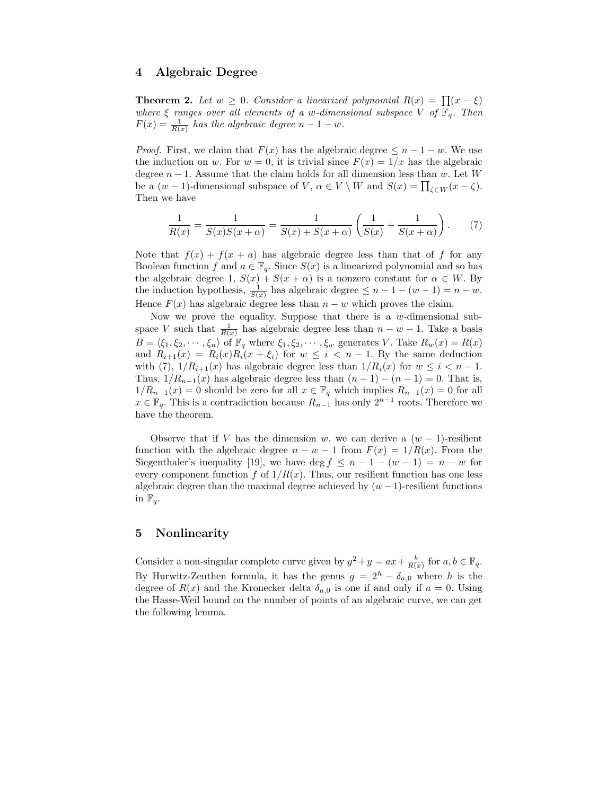### 4 Algebraic Degree

**Theorem 2.** Let  $w \geq 0$ . Consider a linearized polynomial  $R(x) = \prod(x - \xi)$ where  $\xi$  ranges over all elements of a w-dimensional subspace V of  $\mathbb{F}_q$ . Then  $F(x) = \frac{1}{R(x)}$  has the algebraic degree  $n - 1 - w$ .

*Proof.* First, we claim that  $F(x)$  has the algebraic degree  $\leq n-1-w$ . We use the induction on w. For  $w = 0$ , it is trivial since  $F(x) = 1/x$  has the algebraic degree  $n-1$ . Assume that the claim holds for all dimension less than w. Let W be a  $(w-1)$ -dimensional subspace of V,  $\alpha \in V \setminus W$  and  $S(x) = \prod_{\zeta \in W} (x - \zeta)$ . Then we have

$$
\frac{1}{R(x)} = \frac{1}{S(x)S(x+\alpha)} = \frac{1}{S(x) + S(x+\alpha)} \left( \frac{1}{S(x)} + \frac{1}{S(x+\alpha)} \right). \tag{7}
$$

Note that  $f(x) + f(x + a)$  has algebraic degree less than that of f for any Boolean function f and  $a \in \mathbb{F}_q$ . Since  $S(x)$  is a linearized polynomial and so has the algebraic degree 1,  $S(x) + S(x + \alpha)$  is a nonzero constant for  $\alpha \in W$ . By the induction hypothesis,  $\frac{1}{S(x)}$  has algebraic degree  $\leq n-1-(w-1)=n-w$ . Hence  $F(x)$  has algebraic degree less than  $n - w$  which proves the claim.

Now we prove the equality. Suppose that there is a w-dimensional subspace V such that  $\frac{1}{R(x)}$  has algebraic degree less than  $n - w - 1$ . Take a basis  $B = \langle \xi_1, \xi_2, \cdots, \xi_n \rangle$  of  $\mathbb{F}_q$  where  $\xi_1, \xi_2, \cdots, \xi_w$  generates V. Take  $R_w(x) = R(x)$ and  $R_{i+1}(x) = R_i(x)R_i(x + \xi_i)$  for  $w \leq i < n-1$ . By the same deduction with (7),  $1/R_{i+1}(x)$  has algebraic degree less than  $1/R_i(x)$  for  $w \leq i < n-1$ . Thus,  $1/R_{n-1}(x)$  has algebraic degree less than  $(n-1)-(n-1)=0$ . That is,  $1/R_{n-1}(x) = 0$  should be zero for all  $x \in \mathbb{F}_q$  which implies  $R_{n-1}(x) = 0$  for all  $x \in \mathbb{F}_q$ . This is a contradiction because  $R_{n-1}$  has only  $2^{n-1}$  roots. Therefore we have the theorem.

Observe that if V has the dimension w, we can derive a  $(w - 1)$ -resilient function with the algebraic degree  $n - w - 1$  from  $F(x) = 1/R(x)$ . From the Siegenthaler's inequality [19], we have deg  $f \leq n-1-(w-1) = n-w$  for every component function f of  $1/R(x)$ . Thus, our resilient function has one less algebraic degree than the maximal degree achieved by  $(w-1)$ -resilient functions in  $\mathbb{F}_q$ .

# 5 Nonlinearity

Consider a non-singular complete curve given by  $y^2 + y = ax + \frac{b}{R(x)}$  for  $a, b \in \mathbb{F}_q$ . By Hurwitz-Zeuthen formula, it has the genus  $g = 2<sup>h</sup> - \delta_{a,0}$  where h is the degree of  $R(x)$  and the Kronecker delta  $\delta_{a,0}$  is one if and only if  $a = 0$ . Using the Hasse-Weil bound on the number of points of an algebraic curve, we can get the following lemma.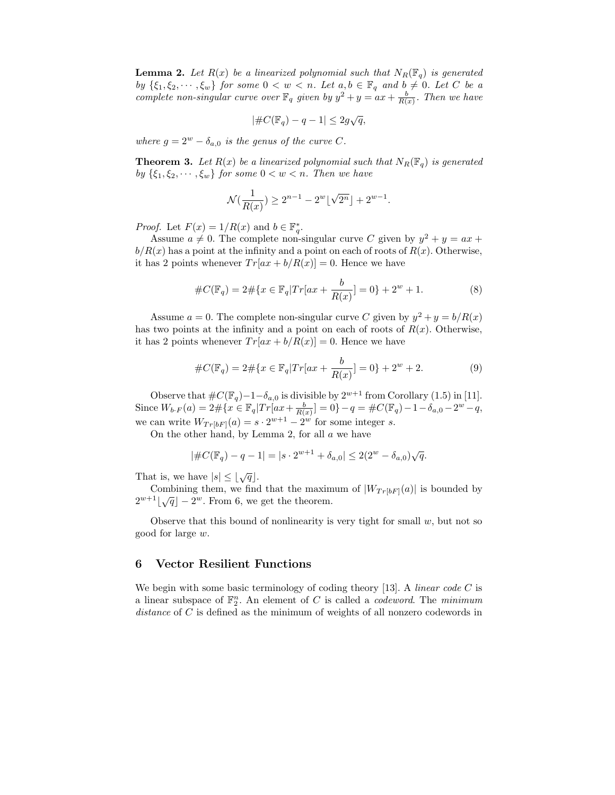**Lemma 2.** Let  $R(x)$  be a linearized polynomial such that  $N_R(\mathbb{F}_q)$  is generated by  $\{\xi_1, \xi_2, \dots, \xi_w\}$  for some  $0 < w < n$ . Let  $a, b \in \mathbb{F}_q$  and  $b \neq 0$ . Let C be a complete non-singular curve over  $\mathbb{F}_q$  given by  $y^2 + y = ax + \frac{b}{R(x)}$ . Then we have

$$
|\#C(\mathbb{F}_q)-q-1|\leq 2g\sqrt{q},
$$

where  $g = 2^w - \delta_{a,0}$  is the genus of the curve C.

**Theorem 3.** Let  $R(x)$  be a linearized polynomial such that  $N_R(\mathbb{F}_q)$  is generated by  $\{\xi_1, \xi_2, \dots, \xi_w\}$  for some  $0 < w < n$ . Then we have

$$
\mathcal{N}(\frac{1}{R(x)}) \ge 2^{n-1} - 2^w \lfloor \sqrt{2^n} \rfloor + 2^{w-1}.
$$

*Proof.* Let  $F(x) = 1/R(x)$  and  $b \in \mathbb{F}_q^*$ .

Assume  $a \neq 0$ . The complete non-singular curve C given by  $y^2 + y = ax +$  $b/R(x)$  has a point at the infinity and a point on each of roots of  $R(x)$ . Otherwise, it has 2 points whenever  $Tr[ax + b/R(x)] = 0$ . Hence we have

$$
#C(\mathbb{F}_q) = 2 \# \{ x \in \mathbb{F}_q | Tr(ax + \frac{b}{R(x)}] = 0 \} + 2^w + 1.
$$
 (8)

Assume  $a = 0$ . The complete non-singular curve C given by  $y^2 + y = b/R(x)$ has two points at the infinity and a point on each of roots of  $R(x)$ . Otherwise, it has 2 points whenever  $Tr[ax + b/R(x)] = 0$ . Hence we have

$$
#C(\mathbb{F}_q) = 2 \# \{ x \in \mathbb{F}_q | Tr[ax + \frac{b}{R(x)}] = 0 \} + 2^w + 2.
$$
 (9)

Observe that  $\#C(\mathbb{F}_q) - 1 - \delta_{a,0}$  is divisible by  $2^{w+1}$  from Corollary (1.5) in [11]. Since  $W_{b \cdot F}(a) = 2 \# \{ x \in \mathbb{F}_q | Tr[ax + \frac{b}{R(x)}] = 0 \} - q = \#C(\mathbb{F}_q) - 1 - \delta_{a,0} - 2^w - q,$ we can write  $W_{Tr[bF]}(a) = s \cdot 2^{w+1} - 2^w$  for some integer s.

On the other hand, by Lemma 2, for all a we have

$$
|\#C(\mathbb{F}_q) - q - 1| = |s \cdot 2^{w+1} + \delta_{a,0}| \le 2(2^w - \delta_{a,0})\sqrt{q}.
$$

That is, we have  $|s| \leq \lfloor \sqrt{q} \rfloor$ .

Combining them, we find that the maximum of  $|W_{Tr[bF]}(a)|$  is bounded by  $2^{w+1}\lfloor \sqrt{q} \rfloor - 2^w$ . From 6, we get the theorem.

Observe that this bound of nonlinearity is very tight for small  $w$ , but not so good for large w.

#### 6 Vector Resilient Functions

We begin with some basic terminology of coding theory [13]. A *linear code C* is a linear subspace of  $\mathbb{F}_2^n$ . An element of C is called a *codeword*. The minimum distance of C is defined as the minimum of weights of all nonzero codewords in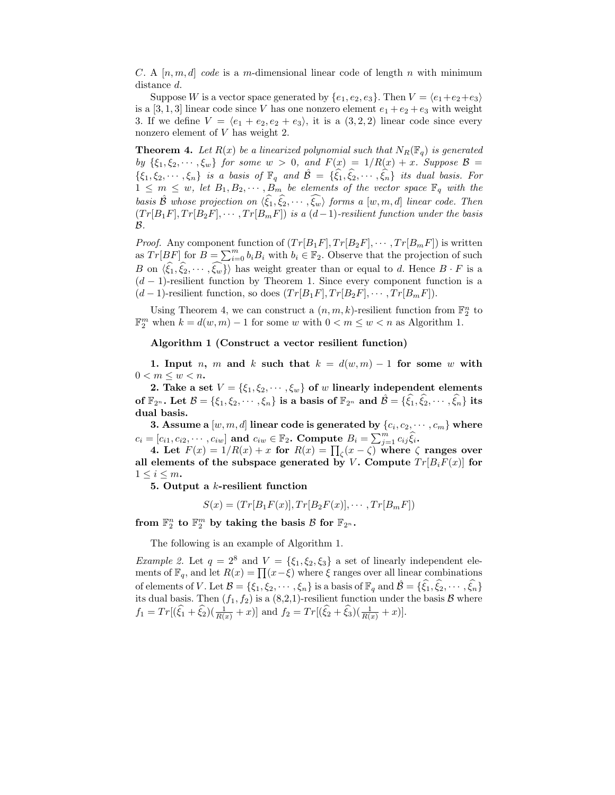C. A  $[n, m, d]$  code is a m-dimensional linear code of length n with minimum distance d.

Suppose W is a vector space generated by  $\{e_1, e_2, e_3\}$ . Then  $V = \langle e_1+e_2+e_3 \rangle$ is a [3, 1, 3] linear code since V has one nonzero element  $e_1 + e_2 + e_3$  with weight 3. If we define  $V = \langle e_1 + e_2, e_2 + e_3 \rangle$ , it is a  $(3, 2, 2)$  linear code since every nonzero element of V has weight 2.

**Theorem 4.** Let  $R(x)$  be a linearized polynomial such that  $N_R(\mathbb{F}_q)$  is generated by  $\{\xi_1, \xi_2, \dots, \xi_w\}$  for some  $w > 0$ , and  $F(x) = 1/R(x) + x$ . Suppose  $\mathcal{B} =$  $\{\xi_1, \xi_2, \cdots, \xi_n\}$  is a basis of  $\mathbb{F}_q$  and  $\hat{\mathcal{B}} = \{\xi_1, \xi_2, \cdots, \xi_n\}$  its dual basis. For  $1 \leq m \leq w$ , let  $B_1, B_2, \cdots, B_m$  be elements of the vector space  $\mathbb{F}_q$  with the basis  $\hat{\mathcal{B}}$  whose projection on  $\langle \hat{\xi}_1, \hat{\xi}_2, \cdots, \hat{\xi}_w \rangle$  forms a  $[w, m, d]$  linear code. Then  $(Tr[B_1F], Tr[B_2F], \cdots, Tr[B_mF])$  is a  $(d-1)$ -resilient function under the basis  $\mathcal{B}$ .

*Proof.* Any component function of  $(Tr[B_1F], Tr[B_2F], \cdots, Tr[B_mF])$  is written as  $Tr[BF]$  for  $B = \sum_{i=0}^{m} b_i B_i$  with  $b_i \in \mathbb{F}_2$ . Observe that the projection of such B on  $\langle \hat{\xi}_1, \hat{\xi}_2, \cdots, \hat{\xi}_w \rangle$  has weight greater than or equal to d. Hence  $B \cdot F$  is a  $(d-1)$ -resilient function by Theorem 1. Since every component function is a  $(d-1)$ -resilient function, so does  $(Tr[B_1F], Tr[B_2F], \cdots, Tr[B_mF]).$ 

Using Theorem 4, we can construct a  $(n, m, k)$ -resilient function from  $\mathbb{F}_2^n$  to  $\mathbb{F}_2^m$  when  $k = d(w, m) - 1$  for some w with  $0 < m \leq w < n$  as Algorithm 1.

#### Algorithm 1 (Construct a vector resilient function)

1. Input n, m and k such that  $k = d(w, m) - 1$  for some w with  $0 < m \leq w < n$ .

2. Take a set  $V = \{\xi_1, \xi_2, \dots, \xi_w\}$  of w linearly independent elements of  $\mathbb{F}_{2^n}$ . Let  $\mathcal{B} = {\xi_1, \xi_2, \cdots, \xi_n}$  is a basis of  $\mathbb{F}_{2^n}$  and  $\hat{\mathcal{B}} = {\hat{\xi_1}, \hat{\xi_2}, \cdots, \hat{\xi_n}}$  its dual basis.

3. Assume a  $[w,m,d]$  linear code is generated by  $\{c_i, c_2, \cdots, c_m\}$  where  $c_i = [c_{i1}, c_{i2}, \cdots, c_{iw}]$  and  $c_{iw} \in \mathbb{F}_2$ . Compute  $B_i = \sum_{j=1}^m c_{ij} \hat{\xi}_i$ .

4. Let  $F(x) = 1/R(x) + x$  for  $R(x) = \prod_{\zeta} (x - \zeta)$  where  $\zeta$  ranges over all elements of the subspace generated by V. Compute  $Tr[B_iF(x)]$  for  $1 \leq i \leq m$ .

5. Output a k-resilient function

$$
S(x) = (Tr[B1F(x)], Tr[B2F(x)], \cdots, Tr[BmF])
$$

from  $\mathbb{F}_2^n$  to  $\mathbb{F}_2^m$  by taking the basis  $\mathcal{B}$  for  $\mathbb{F}_{2^n}$ .

The following is an example of Algorithm 1.

Example 2. Let  $q = 2^8$  and  $V = {\xi_1, \xi_2, \xi_3}$  a set of linearly independent elements of  $\mathbb{F}_q$ , and let  $R(x) = \prod (x - \xi)$  where  $\xi$  ranges over all linear combinations of elements of V. Let  $\mathcal{B} = \{\xi_1, \xi_2, \cdots, \xi_n\}$  is a basis of  $\mathbb{F}_q$  and  $\hat{\mathcal{B}} = \{\hat{\xi}_1, \hat{\xi}_2, \cdots, \hat{\xi}_n\}$ its dual basis. Then  $(f_1, f_2)$  is a  $(8,2,1)$ -resilient function under the basis B where  $f_1 = Tr[(\hat{\xi}_1 + \hat{\xi}_2)(\frac{1}{R(x)} + x)]$  and  $f_2 = Tr[(\hat{\xi}_2 + \hat{\xi}_3)(\frac{1}{R(x)} + x)].$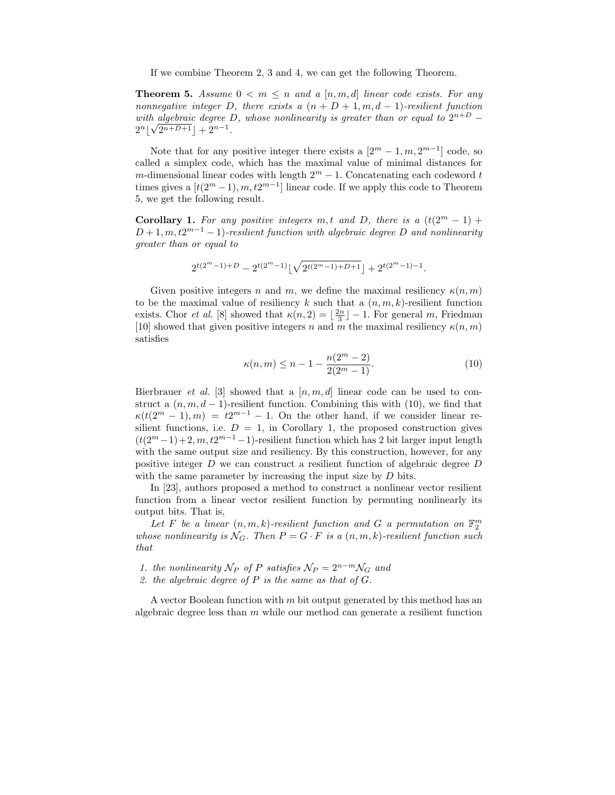If we combine Theorem 2, 3 and 4, we can get the following Theorem.

**Theorem 5.** Assume  $0 \leq m \leq n$  and a  $[n, m, d]$  linear code exists. For any nonnegative integer D, there exists a  $(n + D + 1, m, d - 1)$ -resilient function with algebraic degree D, whose nonlinearity is greater than or equal to  $2^{n+D}$  –  $2^{n} \left[ \sqrt{2^{n+D+1}} \right] + 2^{n-1}.$ 

Note that for any positive integer there exists a  $[2^m - 1, m, 2^{m-1}]$  code, so called a simplex code, which has the maximal value of minimal distances for m-dimensional linear codes with length  $2^m - 1$ . Concatenating each codeword t times gives a  $[t(2^m-1), m, t2^{m-1}]$  linear code. If we apply this code to Theorem 5, we get the following result.

Corollary 1. For any positive integers m,t and D, there is a  $(t(2^m - 1) +$  $D+1, m, t2^{m-1}-1$ )-resilient function with algebraic degree D and nonlinearity greater than or equal to

$$
2^{t(2^m-1)+D}-2^{t(2^m-1)}\lfloor\sqrt{2^{t(2^m-1)+D+1}}\rfloor+2^{t(2^m-1)-1}.
$$

Given positive integers n and m, we define the maximal resiliency  $\kappa(n,m)$ to be the maximal value of resiliency k such that a  $(n, m, k)$ -resilient function exists. Chor *et al.* [8] showed that  $\kappa(n, 2) = \lfloor \frac{2n}{3} \rfloor - 1$ . For general m, Friedman [10] showed that given positive integers n and m the maximal resiliency  $\kappa(n,m)$ satisfies

$$
\kappa(n,m) \le n - 1 - \frac{n(2^m - 2)}{2(2^m - 1)}.
$$
\n(10)

Bierbrauer *et al.* [3] showed that a  $[n, m, d]$  linear code can be used to construct a  $(n, m, d - 1)$ -resilient function. Combining this with (10), we find that  $\kappa(t(2^m-1),m) = t2^{m-1} - 1$ . On the other hand, if we consider linear resilient functions, i.e.  $D = 1$ , in Corollary 1, the proposed construction gives  $(t(2<sup>m</sup> - 1) + 2, m, t2<sup>m-1</sup> - 1)$ -resilient function which has 2 bit larger input length with the same output size and resiliency. By this construction, however, for any positive integer  $D$  we can construct a resilient function of algebraic degree  $D$ with the same parameter by increasing the input size by  $D$  bits.

In [23], authors proposed a method to construct a nonlinear vector resilient function from a linear vector resilient function by permuting nonlinearly its output bits. That is,

Let F be a linear  $(n, m, k)$ -resilient function and G a permutation on  $\mathbb{F}_2^m$ whose nonlinearity is  $\mathcal{N}_G$ . Then  $P = G \cdot F$  is a  $(n, m, k)$ -resilient function such that

- 1. the nonlinearity  $\mathcal{N}_P$  of P satisfies  $\mathcal{N}_P = 2^{n-m} \mathcal{N}_G$  and
- 2. the algebraic degree of  $P$  is the same as that of  $G$ .

A vector Boolean function with m bit output generated by this method has an algebraic degree less than  $m$  while our method can generate a resilient function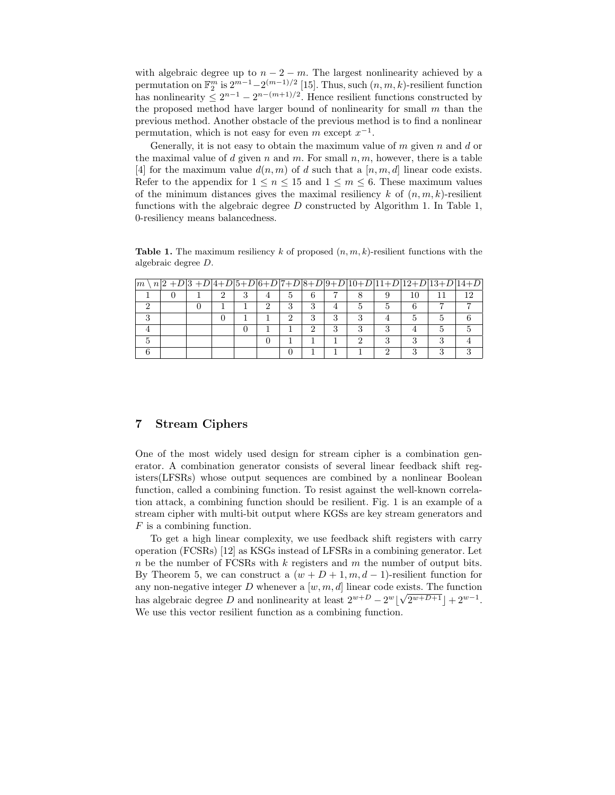with algebraic degree up to  $n - 2 - m$ . The largest nonlinearity achieved by a permutation on  $\mathbb{F}_2^m$  is  $2^{m-1}-2^{(m-1)/2}$  [15]. Thus, such  $(n, m, k)$ -resilient function has nonlinearity  $\leq 2^{n-1} - 2^{n-(m+1)/2}$ . Hence resilient functions constructed by the proposed method have larger bound of nonlinearity for small  $m$  than the previous method. Another obstacle of the previous method is to find a nonlinear permutation, which is not easy for even m except  $x^{-1}$ .

Generally, it is not easy to obtain the maximum value of  $m$  given  $n$  and  $d$  or the maximal value of d given n and m. For small  $n, m$ , however, there is a table [4] for the maximum value  $d(n, m)$  of d such that a [n, m, d] linear code exists. Refer to the appendix for  $1 \leq n \leq 15$  and  $1 \leq m \leq 6$ . These maximum values of the minimum distances gives the maximal resiliency  $k$  of  $(n, m, k)$ -resilient functions with the algebraic degree  $D$  constructed by Algorithm 1. In Table 1, 0-resiliency means balancedness.

**Table 1.** The maximum resiliency k of proposed  $(n, m, k)$ -resilient functions with the algebraic degree D.

| $\boldsymbol{m}$ |  |  |   |   |   |   |   |    | $n 2+D 3+D 4+D 5+D 6+D 7+D 8+D 9+D 10+D 11+D 12+D 13+D 14+D$ |     |
|------------------|--|--|---|---|---|---|---|----|--------------------------------------------------------------|-----|
|                  |  |  | Ð | 6 |   |   |   | 10 |                                                              | 1 າ |
|                  |  |  | з | 3 |   |   |   |    |                                                              |     |
|                  |  |  | ົ | 3 | 3 |   |   |    |                                                              |     |
|                  |  |  |   | ົ | 3 | ച | ∍ |    |                                                              |     |
|                  |  |  |   |   |   |   |   |    |                                                              |     |
|                  |  |  |   |   |   |   |   |    |                                                              |     |

# 7 Stream Ciphers

One of the most widely used design for stream cipher is a combination generator. A combination generator consists of several linear feedback shift registers(LFSRs) whose output sequences are combined by a nonlinear Boolean function, called a combining function. To resist against the well-known correlation attack, a combining function should be resilient. Fig. 1 is an example of a stream cipher with multi-bit output where KGSs are key stream generators and F is a combining function.

To get a high linear complexity, we use feedback shift registers with carry operation (FCSRs) [12] as KSGs instead of LFSRs in a combining generator. Let  $n$  be the number of FCSRs with  $k$  registers and  $m$  the number of output bits. By Theorem 5, we can construct a  $(w + D + 1, m, d - 1)$ -resilient function for any non-negative integer  $D$  whenever a  $[w, m, d]$  linear code exists. The function has algebraic degree D and nonlinearity at least  $2^{w+D} - 2^w \left[ \sqrt{2^{w+D+1}} \right] + 2^{w-1}$ . We use this vector resilient function as a combining function.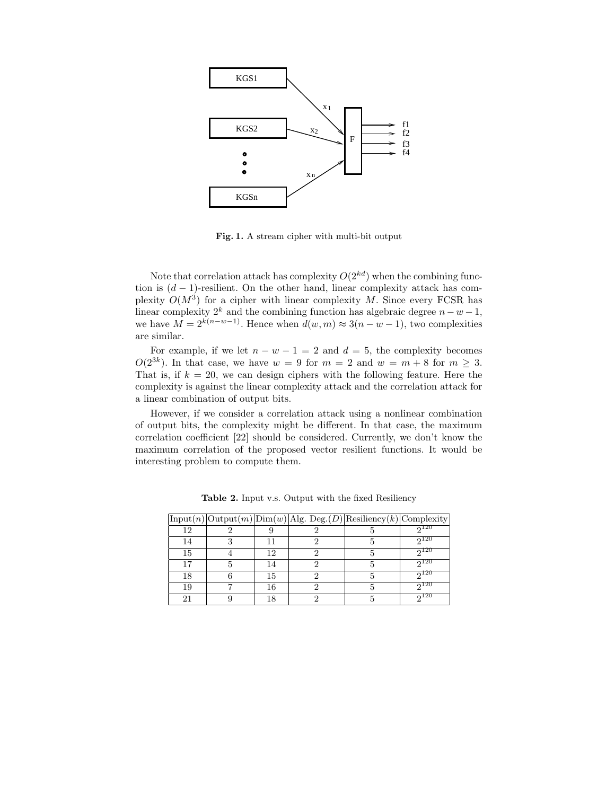

Fig. 1. A stream cipher with multi-bit output

Note that correlation attack has complexity  $O(2^{kd})$  when the combining function is  $(d-1)$ -resilient. On the other hand, linear complexity attack has complexity  $O(M^3)$  for a cipher with linear complexity M. Since every FCSR has linear complexity  $2^k$  and the combining function has algebraic degree  $n - w - 1$ , we have  $M = 2^{k(n-w-1)}$ . Hence when  $d(w, m) \approx 3(n - w - 1)$ , two complexities are similar.

For example, if we let  $n - w - 1 = 2$  and  $d = 5$ , the complexity becomes  $O(2^{3k})$ . In that case, we have  $w = 9$  for  $m = 2$  and  $w = m + 8$  for  $m \geq 3$ . That is, if  $k = 20$ , we can design ciphers with the following feature. Here the complexity is against the linear complexity attack and the correlation attack for a linear combination of output bits.

However, if we consider a correlation attack using a nonlinear combination of output bits, the complexity might be different. In that case, the maximum correlation coefficient [22] should be considered. Currently, we don't know the maximum correlation of the proposed vector resilient functions. It would be interesting problem to compute them.

|    |    | $\text{Input}(n)   \text{Output}(m)   \text{Dim}(w)   \text{Alg. Deg.}(D)   \text{Resiliency}(k)   \text{Complexity}$ |       |
|----|----|-----------------------------------------------------------------------------------------------------------------------|-------|
| 12 |    |                                                                                                                       | 0.120 |
| 14 |    |                                                                                                                       | 0120  |
| 15 | 12 |                                                                                                                       | 0120  |
| 17 | 14 |                                                                                                                       | 0120  |
| 18 | 15 |                                                                                                                       | പ20   |
| 19 | 16 |                                                                                                                       | 0120  |
|    | 18 |                                                                                                                       | പ20   |

Table 2. Input v.s. Output with the fixed Resiliency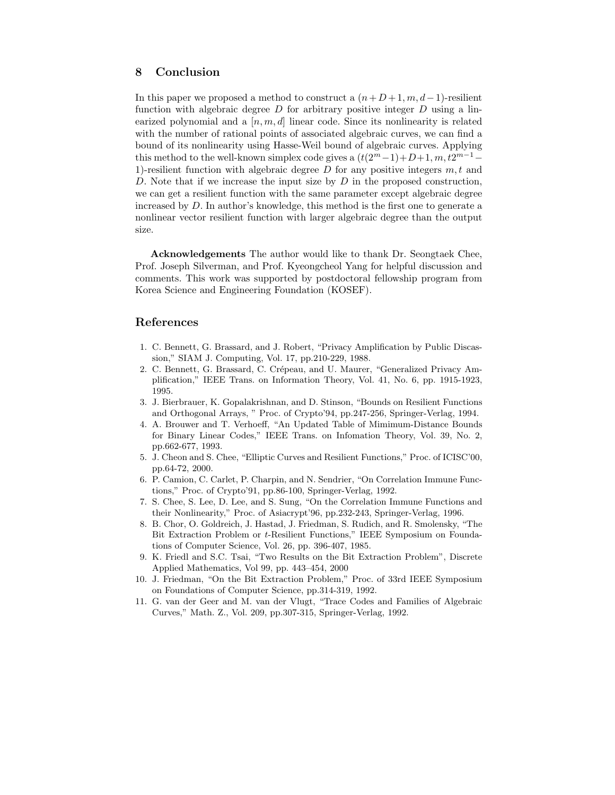# 8 Conclusion

In this paper we proposed a method to construct a  $(n+D+1, m, d-1)$ -resilient function with algebraic degree  $D$  for arbitrary positive integer  $D$  using a linearized polynomial and a  $[n, m, d]$  linear code. Since its nonlinearity is related with the number of rational points of associated algebraic curves, we can find a bound of its nonlinearity using Hasse-Weil bound of algebraic curves. Applying this method to the well-known simplex code gives a  $(t(2^m-1)+D+1, m, t2^{m-1}-$ 1)-resilient function with algebraic degree D for any positive integers  $m, t$  and D. Note that if we increase the input size by  $D$  in the proposed construction, we can get a resilient function with the same parameter except algebraic degree increased by D. In author's knowledge, this method is the first one to generate a nonlinear vector resilient function with larger algebraic degree than the output size.

Acknowledgements The author would like to thank Dr. Seongtaek Chee, Prof. Joseph Silverman, and Prof. Kyeongcheol Yang for helpful discussion and comments. This work was supported by postdoctoral fellowship program from Korea Science and Engineering Foundation (KOSEF).

### References

- 1. C. Bennett, G. Brassard, and J. Robert, "Privacy Amplification by Public Discassion," SIAM J. Computing, Vol. 17, pp.210-229, 1988.
- 2. C. Bennett, G. Brassard, C. Crépeau, and U. Maurer, "Generalized Privacy Amplification," IEEE Trans. on Information Theory, Vol. 41, No. 6, pp. 1915-1923, 1995.
- 3. J. Bierbrauer, K. Gopalakrishnan, and D. Stinson, "Bounds on Resilient Functions and Orthogonal Arrays, " Proc. of Crypto'94, pp.247-256, Springer-Verlag, 1994.
- 4. A. Brouwer and T. Verhoeff, "An Updated Table of Mimimum-Distance Bounds for Binary Linear Codes," IEEE Trans. on Infomation Theory, Vol. 39, No. 2, pp.662-677, 1993.
- 5. J. Cheon and S. Chee, "Elliptic Curves and Resilient Functions," Proc. of ICISC'00, pp.64-72, 2000.
- 6. P. Camion, C. Carlet, P. Charpin, and N. Sendrier, "On Correlation Immune Functions," Proc. of Crypto'91, pp.86-100, Springer-Verlag, 1992.
- 7. S. Chee, S. Lee, D. Lee, and S. Sung, "On the Correlation Immune Functions and their Nonlinearity," Proc. of Asiacrypt'96, pp.232-243, Springer-Verlag, 1996.
- 8. B. Chor, O. Goldreich, J. Hastad, J. Friedman, S. Rudich, and R. Smolensky, "The Bit Extraction Problem or t-Resilient Functions," IEEE Symposium on Foundations of Computer Science, Vol. 26, pp. 396-407, 1985.
- 9. K. Friedl and S.C. Tsai, "Two Results on the Bit Extraction Problem", Discrete Applied Mathematics, Vol 99, pp. 443–454, 2000
- 10. J. Friedman, "On the Bit Extraction Problem," Proc. of 33rd IEEE Symposium on Foundations of Computer Science, pp.314-319, 1992.
- 11. G. van der Geer and M. van der Vlugt, "Trace Codes and Families of Algebraic Curves," Math. Z., Vol. 209, pp.307-315, Springer-Verlag, 1992.